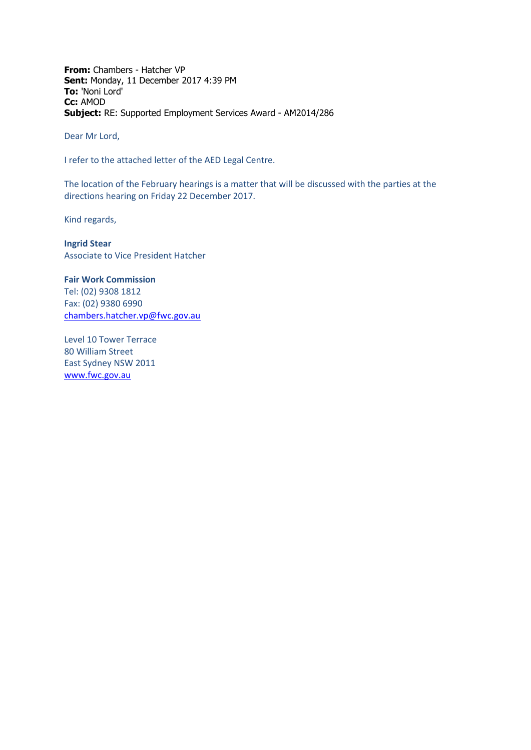**From:** Chambers - Hatcher VP **Sent:** Monday, 11 December 2017 4:39 PM **To:** 'Noni Lord' **Cc:** AMOD **Subject:** RE: Supported Employment Services Award - AM2014/286

Dear Mr Lord,

I refer to the attached letter of the AED Legal Centre.

The location of the February hearings is a matter that will be discussed with the parties at the directions hearing on Friday 22 December 2017.

Kind regards,

**Ingrid Stear** Associate to Vice President Hatcher

**Fair Work Commission**  Tel: (02) 9308 1812 Fax: (02) 9380 6990 [chambers.hatcher.vp@fwc.gov.au](mailto:chambers.hatcher.vp@fwc.gov.au) 

Level 10 Tower Terrace 80 William Street East Sydney NSW 2011 [www.fwc.gov.au](http://www.fwc.gov.au/)